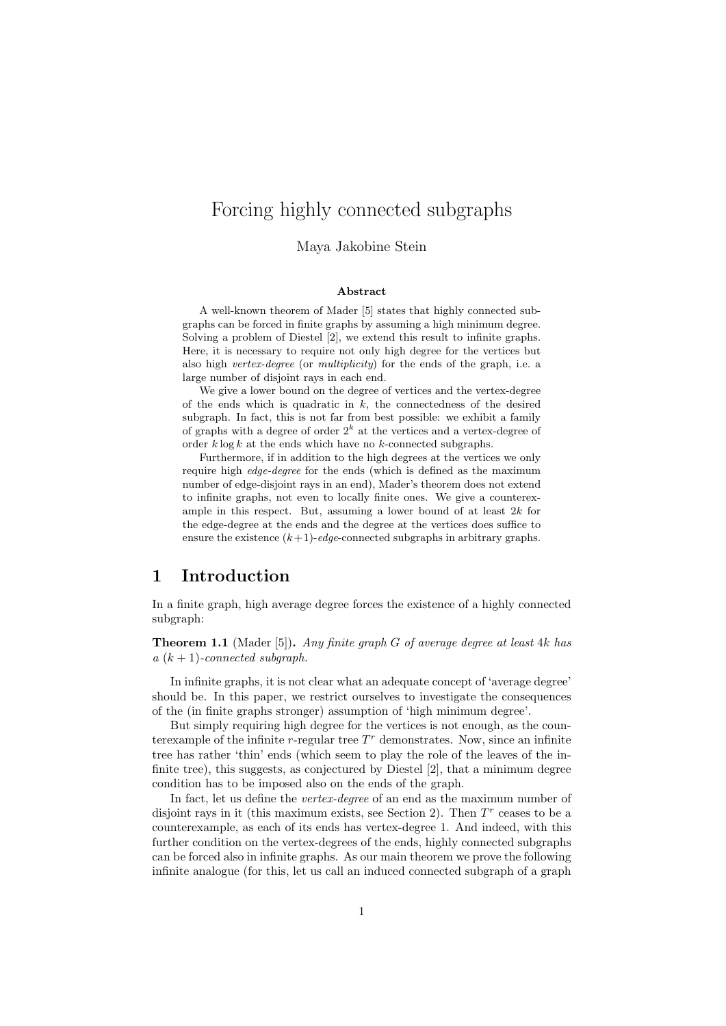# Forcing highly connected subgraphs

### Maya Jakobine Stein

### Abstract

A well-known theorem of Mader [5] states that highly connected subgraphs can be forced in finite graphs by assuming a high minimum degree. Solving a problem of Diestel [2], we extend this result to infinite graphs. Here, it is necessary to require not only high degree for the vertices but also high vertex-degree (or multiplicity) for the ends of the graph, i.e. a large number of disjoint rays in each end.

We give a lower bound on the degree of vertices and the vertex-degree of the ends which is quadratic in  $k$ , the connectedness of the desired subgraph. In fact, this is not far from best possible: we exhibit a family of graphs with a degree of order  $2<sup>k</sup>$  at the vertices and a vertex-degree of order  $k \log k$  at the ends which have no k-connected subgraphs.

Furthermore, if in addition to the high degrees at the vertices we only require high edge-degree for the ends (which is defined as the maximum number of edge-disjoint rays in an end), Mader's theorem does not extend to infinite graphs, not even to locally finite ones. We give a counterexample in this respect. But, assuming a lower bound of at least  $2k$  for the edge-degree at the ends and the degree at the vertices does suffice to ensure the existence  $(k+1)$ -edge-connected subgraphs in arbitrary graphs.

## 1 Introduction

In a finite graph, high average degree forces the existence of a highly connected subgraph:

**Theorem 1.1** (Mader [5]). Any finite graph G of average degree at least 4k has  $a (k + 1)$ -connected subgraph.

In infinite graphs, it is not clear what an adequate concept of 'average degree' should be. In this paper, we restrict ourselves to investigate the consequences of the (in finite graphs stronger) assumption of 'high minimum degree'.

But simply requiring high degree for the vertices is not enough, as the counterexample of the infinite  $r$ -regular tree  $T<sup>r</sup>$  demonstrates. Now, since an infinite tree has rather 'thin' ends (which seem to play the role of the leaves of the infinite tree), this suggests, as conjectured by Diestel [2], that a minimum degree condition has to be imposed also on the ends of the graph.

In fact, let us define the *vertex-degree* of an end as the maximum number of disjoint rays in it (this maximum exists, see Section 2). Then  $T<sup>r</sup>$  ceases to be a counterexample, as each of its ends has vertex-degree 1. And indeed, with this further condition on the vertex-degrees of the ends, highly connected subgraphs can be forced also in infinite graphs. As our main theorem we prove the following infinite analogue (for this, let us call an induced connected subgraph of a graph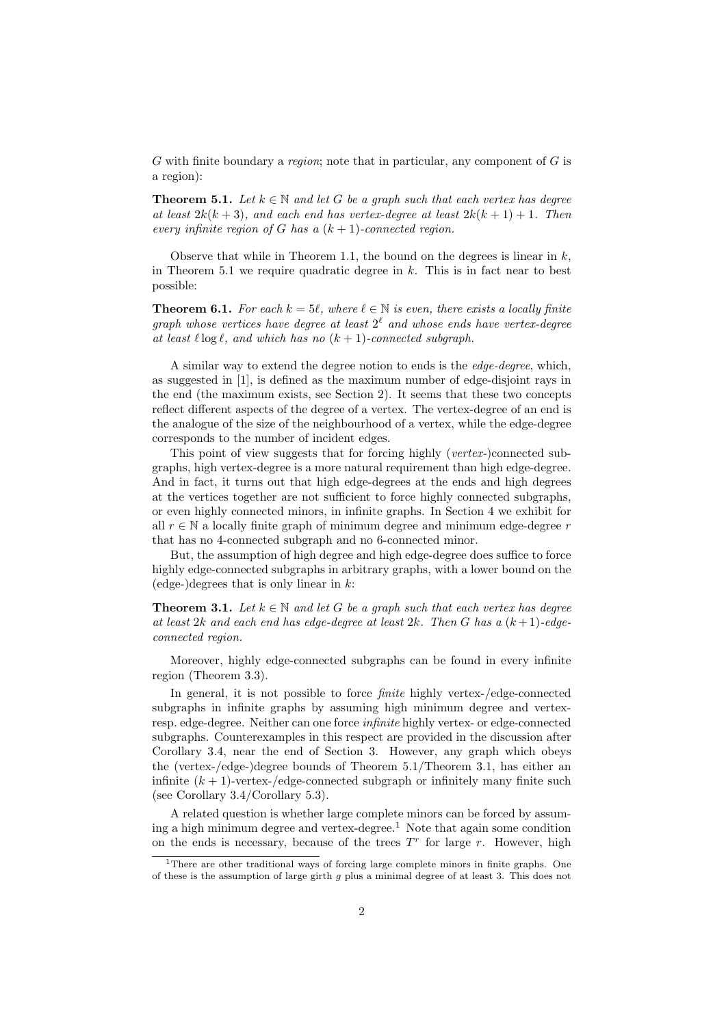$G$  with finite boundary a *region*; note that in particular, any component of  $G$  is a region):

**Theorem 5.1.** Let  $k \in \mathbb{N}$  and let G be a graph such that each vertex has degree at least  $2k(k+3)$ , and each end has vertex-degree at least  $2k(k+1)+1$ . Then every infinite region of G has a  $(k + 1)$ -connected region.

Observe that while in Theorem 1.1, the bound on the degrees is linear in  $k$ , in Theorem 5.1 we require quadratic degree in  $k$ . This is in fact near to best possible:

**Theorem 6.1.** For each  $k = 5\ell$ , where  $\ell \in \mathbb{N}$  is even, there exists a locally finite graph whose vertices have degree at least  $2^{\ell}$  and whose ends have vertex-degree at least  $\ell \log \ell$ , and which has no  $(k + 1)$ -connected subgraph.

A similar way to extend the degree notion to ends is the edge-degree, which, as suggested in [1], is defined as the maximum number of edge-disjoint rays in the end (the maximum exists, see Section 2). It seems that these two concepts reflect different aspects of the degree of a vertex. The vertex-degree of an end is the analogue of the size of the neighbourhood of a vertex, while the edge-degree corresponds to the number of incident edges.

This point of view suggests that for forcing highly (vertex-)connected subgraphs, high vertex-degree is a more natural requirement than high edge-degree. And in fact, it turns out that high edge-degrees at the ends and high degrees at the vertices together are not sufficient to force highly connected subgraphs, or even highly connected minors, in infinite graphs. In Section 4 we exhibit for all  $r \in \mathbb{N}$  a locally finite graph of minimum degree and minimum edge-degree r that has no 4-connected subgraph and no 6-connected minor.

But, the assumption of high degree and high edge-degree does suffice to force highly edge-connected subgraphs in arbitrary graphs, with a lower bound on the  $\text{edge-}$ ) degrees that is only linear in k:

**Theorem 3.1.** Let  $k \in \mathbb{N}$  and let G be a graph such that each vertex has degree at least 2k and each end has edge-degree at least 2k. Then G has a  $(k+1)$ -edgeconnected region.

Moreover, highly edge-connected subgraphs can be found in every infinite region (Theorem 3.3).

In general, it is not possible to force finite highly vertex-/edge-connected subgraphs in infinite graphs by assuming high minimum degree and vertexresp. edge-degree. Neither can one force infinite highly vertex- or edge-connected subgraphs. Counterexamples in this respect are provided in the discussion after Corollary 3.4, near the end of Section 3. However, any graph which obeys the (vertex-/edge-)degree bounds of Theorem 5.1/Theorem 3.1, has either an infinite  $(k + 1)$ -vertex-/edge-connected subgraph or infinitely many finite such (see Corollary 3.4/Corollary 5.3).

A related question is whether large complete minors can be forced by assuming a high minimum degree and vertex-degree.<sup>1</sup> Note that again some condition on the ends is necessary, because of the trees  $T<sup>r</sup>$  for large r. However, high

<sup>&</sup>lt;sup>1</sup>There are other traditional ways of forcing large complete minors in finite graphs. One of these is the assumption of large girth q plus a minimal degree of at least 3. This does not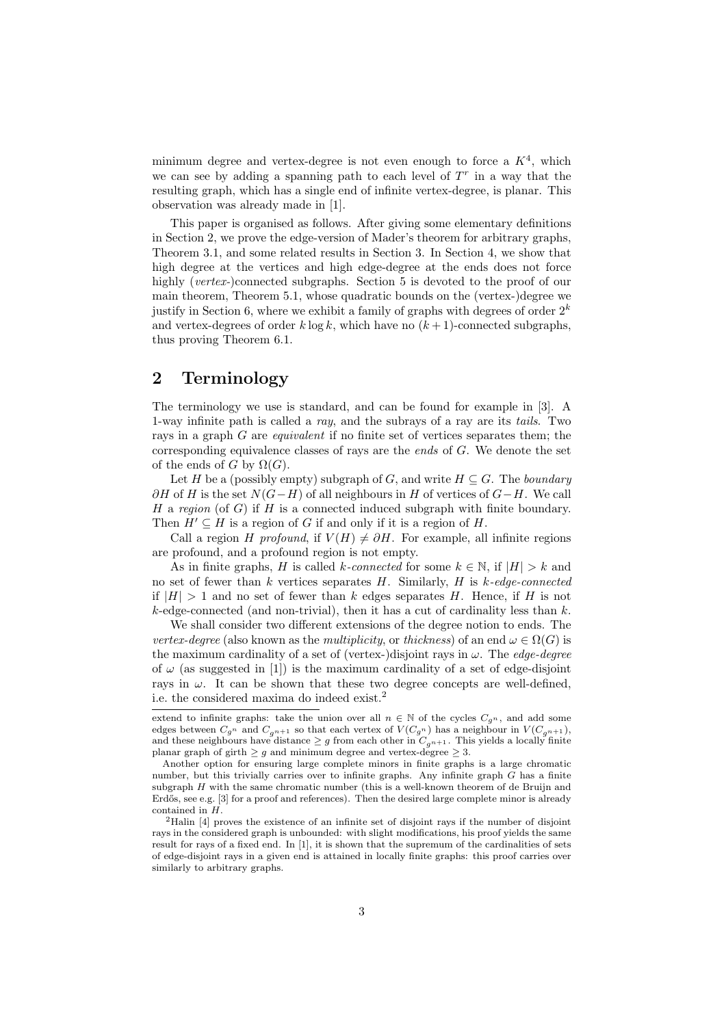minimum degree and vertex-degree is not even enough to force a  $K<sup>4</sup>$ , which we can see by adding a spanning path to each level of  $T<sup>r</sup>$  in a way that the resulting graph, which has a single end of infinite vertex-degree, is planar. This observation was already made in [1].

This paper is organised as follows. After giving some elementary definitions in Section 2, we prove the edge-version of Mader's theorem for arbitrary graphs, Theorem 3.1, and some related results in Section 3. In Section 4, we show that high degree at the vertices and high edge-degree at the ends does not force highly (vertex-)connected subgraphs. Section 5 is devoted to the proof of our main theorem, Theorem 5.1, whose quadratic bounds on the (vertex-)degree we justify in Section 6, where we exhibit a family of graphs with degrees of order  $2^k$ and vertex-degrees of order  $k \log k$ , which have no  $(k+1)$ -connected subgraphs, thus proving Theorem 6.1.

## 2 Terminology

The terminology we use is standard, and can be found for example in [3]. A 1-way infinite path is called a ray, and the subrays of a ray are its tails. Two rays in a graph G are equivalent if no finite set of vertices separates them; the corresponding equivalence classes of rays are the *ends* of  $G$ . We denote the set of the ends of G by  $\Omega(G)$ .

Let H be a (possibly empty) subgraph of G, and write  $H \subseteq G$ . The *boundary*  $\partial H$  of H is the set  $N(G-H)$  of all neighbours in H of vertices of  $G-H$ . We call H a region (of G) if H is a connected induced subgraph with finite boundary. Then  $H' \subseteq H$  is a region of G if and only if it is a region of H.

Call a region H profound, if  $V(H) \neq \partial H$ . For example, all infinite regions are profound, and a profound region is not empty.

As in finite graphs, H is called k-connected for some  $k \in \mathbb{N}$ , if  $|H| > k$  and no set of fewer than  $k$  vertices separates  $H$ . Similarly,  $H$  is  $k$ -edge-connected if  $|H| > 1$  and no set of fewer than k edges separates H. Hence, if H is not  $k$ -edge-connected (and non-trivial), then it has a cut of cardinality less than  $k$ .

We shall consider two different extensions of the degree notion to ends. The vertex-degree (also known as the multiplicity, or thickness) of an end  $\omega \in \Omega(G)$  is the maximum cardinality of a set of (vertex-)disjoint rays in  $\omega$ . The *edge-degree* of  $\omega$  (as suggested in [1]) is the maximum cardinality of a set of edge-disjoint rays in  $\omega$ . It can be shown that these two degree concepts are well-defined, i.e. the considered maxima do indeed exist.<sup>2</sup>

extend to infinite graphs: take the union over all  $n \in \mathbb{N}$  of the cycles  $C_{g^n}$ , and add some edges between  $C_{g^n}$  and  $C_{g^{n+1}}$  so that each vertex of  $V(C_{g^n})$  has a neighbour in  $V(C_{g^{n+1}})$ , and these neighbours have distance  $\geq g$  from each other in  $C_{g^{n+1}}$ . This yields a locally finite planar graph of girth  $\geq g$  and minimum degree and vertex-degree  $\geq 3$ .

Another option for ensuring large complete minors in finite graphs is a large chromatic number, but this trivially carries over to infinite graphs. Any infinite graph G has a finite subgraph H with the same chromatic number (this is a well-known theorem of de Bruijn and Erdős, see e.g. [3] for a proof and references). Then the desired large complete minor is already contained in H.

<sup>2</sup>Halin [4] proves the existence of an infinite set of disjoint rays if the number of disjoint rays in the considered graph is unbounded: with slight modifications, his proof yields the same result for rays of a fixed end. In [1], it is shown that the supremum of the cardinalities of sets of edge-disjoint rays in a given end is attained in locally finite graphs: this proof carries over similarly to arbitrary graphs.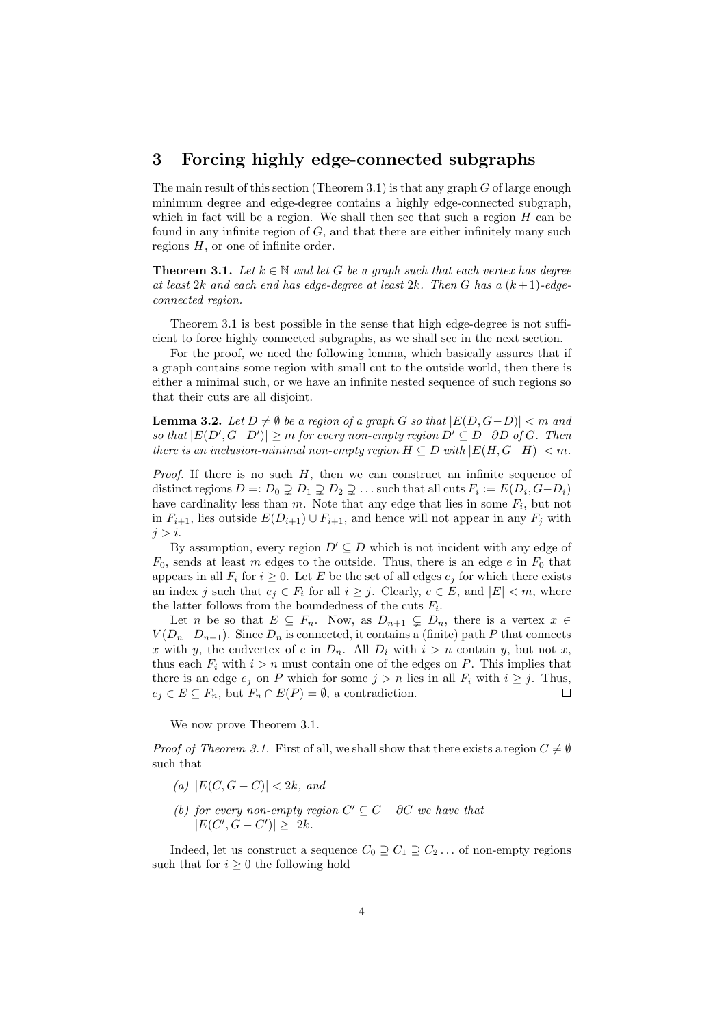## 3 Forcing highly edge-connected subgraphs

The main result of this section (Theorem 3.1) is that any graph  $G$  of large enough minimum degree and edge-degree contains a highly edge-connected subgraph, which in fact will be a region. We shall then see that such a region  $H$  can be found in any infinite region of  $G$ , and that there are either infinitely many such regions  $H$ , or one of infinite order.

**Theorem 3.1.** Let  $k \in \mathbb{N}$  and let G be a graph such that each vertex has degree at least  $2k$  and each end has edge-degree at least  $2k$ . Then G has a  $(k+1)$ -edgeconnected region.

Theorem 3.1 is best possible in the sense that high edge-degree is not sufficient to force highly connected subgraphs, as we shall see in the next section.

For the proof, we need the following lemma, which basically assures that if a graph contains some region with small cut to the outside world, then there is either a minimal such, or we have an infinite nested sequence of such regions so that their cuts are all disjoint.

**Lemma 3.2.** Let  $D \neq \emptyset$  be a region of a graph G so that  $|E(D, G-D)| < m$  and so that  $|E(D', G-D')| \ge m$  for every non-empty region  $D' \subseteq D-\partial D$  of G. Then there is an inclusion-minimal non-empty region  $H \subseteq D$  with  $|E(H, G-H)| < m$ .

*Proof.* If there is no such  $H$ , then we can construct an infinite sequence of distinct regions  $D =: D_0 \supsetneq D_1 \supsetneq D_2 \supsetneq \ldots$  such that all cuts  $F_i := E(D_i, G - D_i)$ have cardinality less than  $m$ . Note that any edge that lies in some  $F_i$ , but not in  $F_{i+1}$ , lies outside  $E(D_{i+1}) \cup F_{i+1}$ , and hence will not appear in any  $F_j$  with  $i > i$ .

By assumption, every region  $D' \subseteq D$  which is not incident with any edge of  $F_0$ , sends at least m edges to the outside. Thus, there is an edge e in  $F_0$  that appears in all  $F_i$  for  $i \geq 0$ . Let E be the set of all edges  $e_i$  for which there exists an index j such that  $e_i \in F_i$  for all  $i \geq j$ . Clearly,  $e \in E$ , and  $|E| < m$ , where the latter follows from the boundedness of the cuts  $F_i$ .

Let n be so that  $E \subseteq F_n$ . Now, as  $D_{n+1} \subseteq D_n$ , there is a vertex  $x \in$  $V(D_n-D_{n+1})$ . Since  $D_n$  is connected, it contains a (finite) path P that connects x with y, the endvertex of e in  $D_n$ . All  $D_i$  with  $i > n$  contain y, but not x, thus each  $F_i$  with  $i > n$  must contain one of the edges on P. This implies that there is an edge  $e_i$  on P which for some  $j > n$  lies in all  $F_i$  with  $i \geq j$ . Thus,  $e_j \in E \subseteq F_n$ , but  $F_n \cap E(P) = \emptyset$ , a contradiction.  $\Box$ 

We now prove Theorem 3.1.

*Proof of Theorem 3.1.* First of all, we shall show that there exists a region  $C \neq \emptyset$ such that

- (a)  $|E(C, G C)| < 2k$ , and
- (b) for every non-empty region  $C' \subseteq C \partial C$  we have that  $|E(C', G - C')| \geq 2k$ .

Indeed, let us construct a sequence  $C_0 \supseteq C_1 \supseteq C_2 \dots$  of non-empty regions such that for  $i \geq 0$  the following hold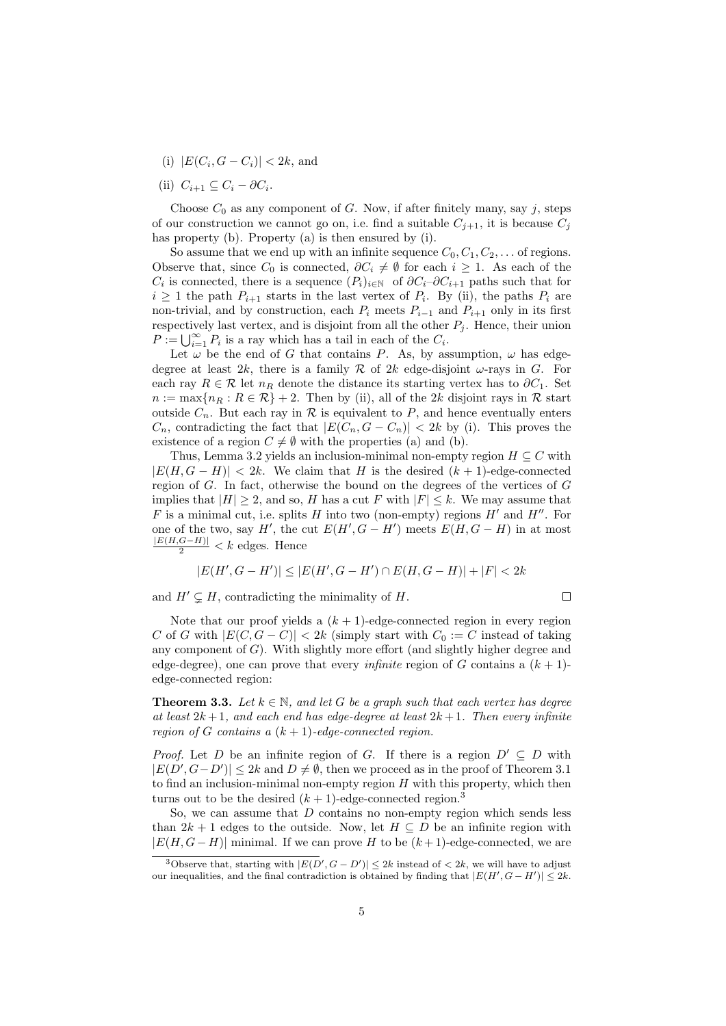- (i)  $|E(C_i, G C_i)| < 2k$ , and
- (ii)  $C_{i+1} \subseteq C_i \partial C_i$ .

Choose  $C_0$  as any component of G. Now, if after finitely many, say j, steps of our construction we cannot go on, i.e. find a suitable  $C_{j+1}$ , it is because  $C_j$ has property (b). Property (a) is then ensured by (i).

So assume that we end up with an infinite sequence  $C_0, C_1, C_2, \ldots$  of regions. Observe that, since  $C_0$  is connected,  $\partial C_i \neq \emptyset$  for each  $i \geq 1$ . As each of the  $C_i$  is connected, there is a sequence  $(P_i)_{i\in\mathbb{N}}$  of  $\partial C_i-\partial C_{i+1}$  paths such that for  $i \geq 1$  the path  $P_{i+1}$  starts in the last vertex of  $P_i$ . By (ii), the paths  $P_i$  are non-trivial, and by construction, each  $P_i$  meets  $P_{i-1}$  and  $P_{i+1}$  only in its first respectively last vertex, and is disjoint from all the other  $P_j$ . Hence, their union  $P := \bigcup_{i=1}^{\infty} P_i$  is a ray which has a tail in each of the  $C_i$ .

Let  $\omega$  be the end of G that contains P. As, by assumption,  $\omega$  has edgedegree at least 2k, there is a family R of 2k edge-disjoint  $\omega$ -rays in G. For each ray  $R \in \mathcal{R}$  let  $n_R$  denote the distance its starting vertex has to  $\partial C_1$ . Set  $n := \max\{n_R : R \in \mathcal{R}\}$  + 2. Then by (ii), all of the 2k disjoint rays in R start outside  $C_n$ . But each ray in  $\mathcal R$  is equivalent to P, and hence eventually enters  $C_n$ , contradicting the fact that  $|E(C_n, G - C_n)| < 2k$  by (i). This proves the existence of a region  $C \neq \emptyset$  with the properties (a) and (b).

Thus, Lemma 3.2 yields an inclusion-minimal non-empty region  $H \subseteq C$  with  $|E(H, G - H)| < 2k$ . We claim that H is the desired  $(k + 1)$ -edge-connected region of G. In fact, otherwise the bound on the degrees of the vertices of G implies that  $|H| \geq 2$ , and so, H has a cut F with  $|F| \leq k$ . We may assume that F is a minimal cut, i.e. splits H into two (non-empty) regions  $H'$  and  $H''$ . For one of the two, say H', the cut  $E(H', G - H')$  meets  $E(H, G - H)$  in at most  $\frac{|E(H,G-H)|}{2}$  < *k* edges. Hence

$$
|E(H', G - H')| \le |E(H', G - H') \cap E(H, G - H)| + |F| < 2k
$$

and  $H' \subseteq H$ , contradicting the minimality of H.

$$
\Box
$$

Note that our proof yields a  $(k + 1)$ -edge-connected region in every region C of G with  $|E(C, G - C)| < 2k$  (simply start with  $C_0 := C$  instead of taking any component of  $G$ ). With slightly more effort (and slightly higher degree and edge-degree), one can prove that every *infinite* region of G contains a  $(k + 1)$ edge-connected region:

**Theorem 3.3.** Let  $k \in \mathbb{N}$ , and let G be a graph such that each vertex has degree at least  $2k+1$ , and each end has edge-degree at least  $2k+1$ . Then every infinite region of G contains a  $(k + 1)$ -edge-connected region.

*Proof.* Let D be an infinite region of G. If there is a region  $D' \subseteq D$  with  $|E(D', G - D')| \leq 2k$  and  $D \neq \emptyset$ , then we proceed as in the proof of Theorem 3.1 to find an inclusion-minimal non-empty region  $H$  with this property, which then turns out to be the desired  $(k + 1)$ -edge-connected region.<sup>3</sup>

So, we can assume that  $D$  contains no non-empty region which sends less than  $2k + 1$  edges to the outside. Now, let  $H \subseteq D$  be an infinite region with  $|E(H, G - H)|$  minimal. If we can prove H to be  $(k + 1)$ -edge-connected, we are

<sup>&</sup>lt;sup>3</sup>Observe that, starting with  $|E(D', G - D')| \leq 2k$  instead of  $\lt 2k$ , we will have to adjust our inequalities, and the final contradiction is obtained by finding that  $|E(H', G - H')| \leq 2k$ .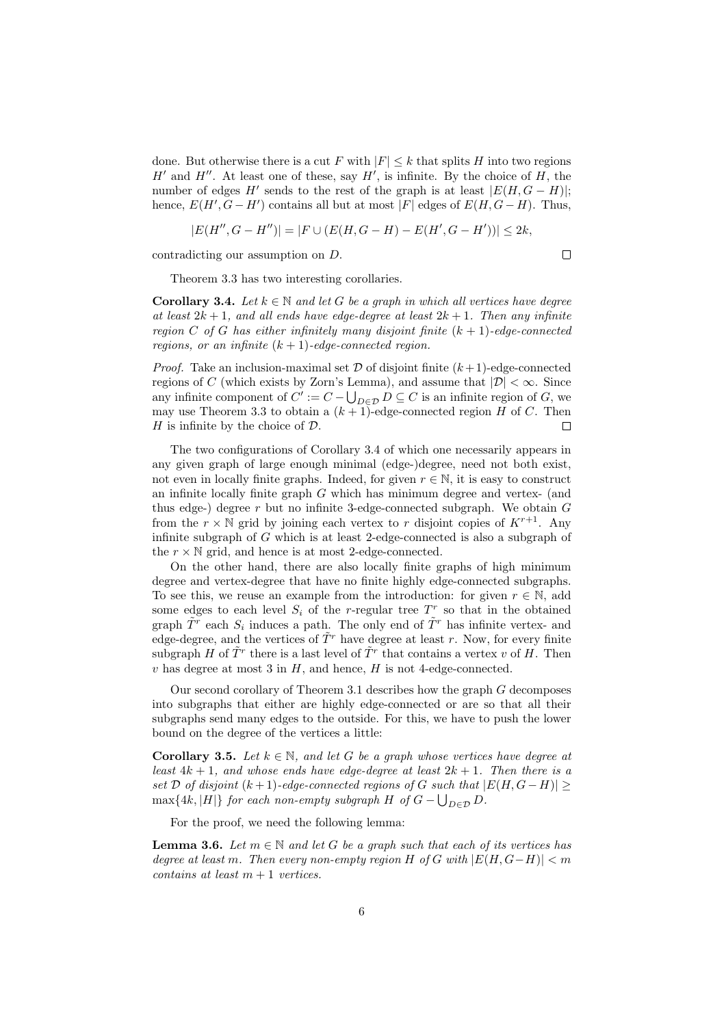done. But otherwise there is a cut F with  $|F| \leq k$  that splits H into two regions  $H'$  and  $H''$ . At least one of these, say  $H'$ , is infinite. By the choice of  $H$ , the number of edges  $H'$  sends to the rest of the graph is at least  $|E(H, G - H)|$ ; hence,  $E(H', G - H')$  contains all but at most |F| edges of  $E(H, G - H)$ . Thus,

$$
|E(H'', G - H'')| = |F \cup (E(H, G - H) - E(H', G - H'))| \le 2k,
$$

contradicting our assumption on D.

 $\Box$ 

Theorem 3.3 has two interesting corollaries.

**Corollary 3.4.** Let  $k \in \mathbb{N}$  and let G be a graph in which all vertices have degree at least  $2k+1$ , and all ends have edge-degree at least  $2k+1$ . Then any infinite region C of G has either infinitely many disjoint finite  $(k + 1)$ -edge-connected regions, or an infinite  $(k + 1)$ -edge-connected region.

*Proof.* Take an inclusion-maximal set  $D$  of disjoint finite  $(k+1)$ -edge-connected regions of C (which exists by Zorn's Lemma), and assume that  $|\mathcal{D}| < \infty$ . Since any infinite component of  $C' := C - \bigcup_{D \in \mathcal{D}} D \subseteq C$  is an infinite region of G, we may use Theorem 3.3 to obtain a  $(k+1)$ -edge-connected region H of C. Then H is infinite by the choice of  $\mathcal{D}$ . г

The two configurations of Corollary 3.4 of which one necessarily appears in any given graph of large enough minimal (edge-)degree, need not both exist, not even in locally finite graphs. Indeed, for given  $r \in \mathbb{N}$ , it is easy to construct an infinite locally finite graph  $G$  which has minimum degree and vertex- (and thus edge-) degree r but no infinite 3-edge-connected subgraph. We obtain  $G$ from the  $r \times \mathbb{N}$  grid by joining each vertex to r disjoint copies of  $K^{r+1}$ . Any infinite subgraph of G which is at least 2-edge-connected is also a subgraph of the  $r \times N$  grid, and hence is at most 2-edge-connected.

On the other hand, there are also locally finite graphs of high minimum degree and vertex-degree that have no finite highly edge-connected subgraphs. To see this, we reuse an example from the introduction: for given  $r \in \mathbb{N}$ , add some edges to each level  $S_i$  of the r-regular tree  $T^r$  so that in the obtained graph  $\tilde{T}^r$  each  $S_i$  induces a path. The only end of  $\tilde{T}^r$  has infinite vertex- and edge-degree, and the vertices of  $\tilde{T}^r$  have degree at least r. Now, for every finite subgraph H of  $\tilde{T}^r$  there is a last level of  $\tilde{T}^r$  that contains a vertex v of H. Then  $v$  has degree at most 3 in  $H$ , and hence,  $H$  is not 4-edge-connected.

Our second corollary of Theorem 3.1 describes how the graph G decomposes into subgraphs that either are highly edge-connected or are so that all their subgraphs send many edges to the outside. For this, we have to push the lower bound on the degree of the vertices a little:

**Corollary 3.5.** Let  $k \in \mathbb{N}$ , and let G be a graph whose vertices have degree at least  $4k + 1$ , and whose ends have edge-degree at least  $2k + 1$ . Then there is a set D of disjoint  $(k+1)$ -edge-connected regions of G such that  $|E(H, G - H)| \ge$  $\max\{4k, |H|\}$  for each non-empty subgraph H of  $G - \bigcup_{D \in \mathcal{D}} D$ .

For the proof, we need the following lemma:

**Lemma 3.6.** Let  $m \in \mathbb{N}$  and let G be a graph such that each of its vertices has degree at least m. Then every non-empty region H of G with  $|E(H, G-H)| < m$  $contains at least m + 1 vertices.$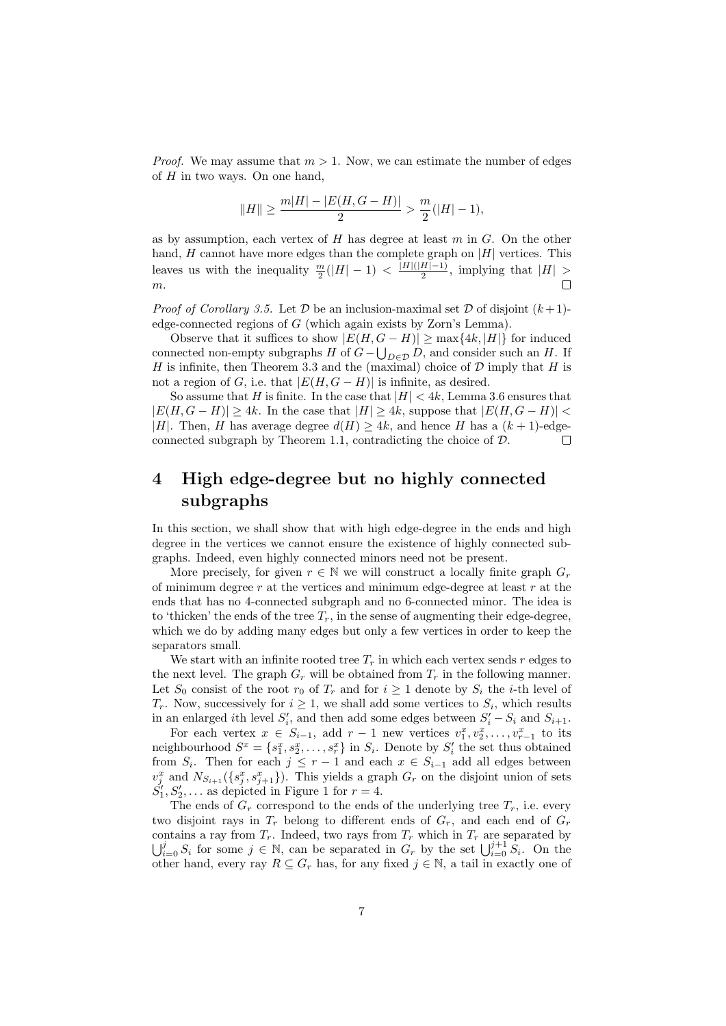*Proof.* We may assume that  $m > 1$ . Now, we can estimate the number of edges of  $H$  in two ways. On one hand,

$$
||H|| \ge \frac{m|H| - |E(H, G - H)|}{2} > \frac{m}{2}(|H| - 1),
$$

as by assumption, each vertex of  $H$  has degree at least  $m$  in  $G$ . On the other hand,  $H$  cannot have more edges than the complete graph on  $|H|$  vertices. This leaves us with the inequality  $\frac{m}{2}(|H| - 1) < \frac{|H|(|H| - 1)}{2}$  $\frac{H[-1]}{2}$ , implying that  $|H| >$  $\Box$ m.

*Proof of Corollary 3.5.* Let  $D$  be an inclusion-maximal set  $D$  of disjoint  $(k+1)$ edge-connected regions of G (which again exists by Zorn's Lemma).

Observe that it suffices to show  $|E(H, G - H)| \ge \max\{4k, |H|\}$  for induced connected non-empty subgraphs  $H$  of  $G-\bigcup_{D\in\mathcal{D}} D$ , and consider such an  $H$ . If H is infinite, then Theorem 3.3 and the (maximal) choice of  $D$  imply that H is not a region of G, i.e. that  $|E(H, G - H)|$  is infinite, as desired.

So assume that H is finite. In the case that  $|H| < 4k$ , Lemma 3.6 ensures that  $|E(H, G - H)| > 4k$ . In the case that  $|H| > 4k$ , suppose that  $|E(H, G - H)| <$ |H|. Then, H has average degree  $d(H) > 4k$ , and hence H has a  $(k+1)$ -edgeconnected subgraph by Theorem 1.1, contradicting the choice of D.  $\Box$ 

## 4 High edge-degree but no highly connected subgraphs

In this section, we shall show that with high edge-degree in the ends and high degree in the vertices we cannot ensure the existence of highly connected subgraphs. Indeed, even highly connected minors need not be present.

More precisely, for given  $r \in \mathbb{N}$  we will construct a locally finite graph  $G_r$ of minimum degree  $r$  at the vertices and minimum edge-degree at least  $r$  at the ends that has no 4-connected subgraph and no 6-connected minor. The idea is to 'thicken' the ends of the tree  $T_r$ , in the sense of augmenting their edge-degree, which we do by adding many edges but only a few vertices in order to keep the separators small.

We start with an infinite rooted tree  $T_r$  in which each vertex sends r edges to the next level. The graph  $G_r$  will be obtained from  $T_r$  in the following manner. Let  $S_0$  consist of the root  $r_0$  of  $T_r$  and for  $i \geq 1$  denote by  $S_i$  the *i*-th level of  $T_r$ . Now, successively for  $i \geq 1$ , we shall add some vertices to  $S_i$ , which results in an enlarged *i*th level  $S_i'$ , and then add some edges between  $S_i' - S_i$  and  $S_{i+1}$ .

For each vertex  $x \in S_{i-1}$ , add  $r-1$  new vertices  $v_1^x, v_2^x, \ldots, v_{r-1}^x$  to its neighbourhood  $S^x = \{s_1^x, s_2^x, \ldots, s_r^x\}$  in  $S_i$ . Denote by  $S'_i$  the set thus obtained from  $S_i$ . Then for each  $j \leq r-1$  and each  $x \in S_{i-1}$  add all edges between  $v_j^x$  and  $N_{S_{i+1}}(\lbrace s_j^x, s_{j+1}^x \rbrace)$ . This yields a graph  $G_r$  on the disjoint union of sets  $S_1', S_2', \ldots$  as depicted in Figure 1 for  $r = 4$ .

The ends of  $G_r$  correspond to the ends of the underlying tree  $T_r$ , i.e. every two disjoint rays in  $T_r$  belong to different ends of  $G_r$ , and each end of  $G_r$ contains a ray from  $T_r$ . Indeed, two rays from  $T_r$  which in  $T_r$  are separated by  $\bigcup_{i=0}^j S_i$  for some  $j \in \mathbb{N}$ , can be separated in  $G_r$  by the set  $\bigcup_{i=0}^{j+1} S_i$ . On the other hand, every ray  $R \subseteq G_r$  has, for any fixed  $j \in \mathbb{N}$ , a tail in exactly one of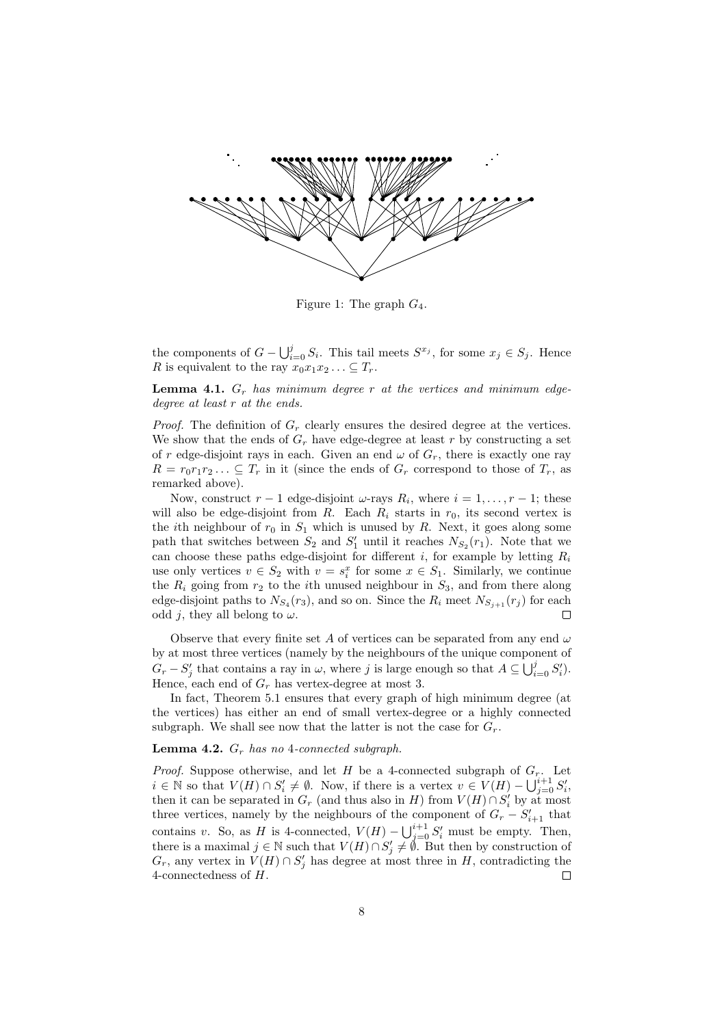

Figure 1: The graph  $G_4$ .

the components of  $G - \bigcup_{i=0}^{j} S_i$ . This tail meets  $S^{x_j}$ , for some  $x_j \in S_j$ . Hence R is equivalent to the ray  $x_0x_1x_2... \subseteq T_r$ .

**Lemma 4.1.**  $G_r$  has minimum degree r at the vertices and minimum edgedegree at least r at the ends.

*Proof.* The definition of  $G_r$  clearly ensures the desired degree at the vertices. We show that the ends of  $G_r$  have edge-degree at least r by constructing a set of r edge-disjoint rays in each. Given an end  $\omega$  of  $G_r$ , there is exactly one ray  $R = r_0 r_1 r_2 \dots \subseteq T_r$  in it (since the ends of  $G_r$  correspond to those of  $T_r$ , as remarked above).

Now, construct  $r-1$  edge-disjoint  $\omega$ -rays  $R_i$ , where  $i=1,\ldots,r-1$ ; these will also be edge-disjoint from  $R$ . Each  $R_i$  starts in  $r_0$ , its second vertex is the *i*th neighbour of  $r_0$  in  $S_1$  which is unused by R. Next, it goes along some path that switches between  $S_2$  and  $S'_1$  until it reaches  $N_{S_2}(r_1)$ . Note that we can choose these paths edge-disjoint for different i, for example by letting  $R_i$ use only vertices  $v \in S_2$  with  $v = s_i^x$  for some  $x \in S_1$ . Similarly, we continue the  $R_i$  going from  $r_2$  to the *i*th unused neighbour in  $S_3$ , and from there along edge-disjoint paths to  $N_{S_4}(r_3)$ , and so on. Since the  $R_i$  meet  $N_{S_{j+1}}(r_j)$  for each odd j, they all belong to  $\omega$ .

Observe that every finite set A of vertices can be separated from any end  $\omega$ by at most three vertices (namely by the neighbours of the unique component of  $G_r - S'_j$  that contains a ray in  $\omega$ , where j is large enough so that  $A \subseteq \bigcup_{i=0}^j S'_i$ . Hence, each end of  $G_r$  has vertex-degree at most 3.

In fact, Theorem 5.1 ensures that every graph of high minimum degree (at the vertices) has either an end of small vertex-degree or a highly connected subgraph. We shall see now that the latter is not the case for  $G_r$ .

### **Lemma 4.2.**  $G_r$  has no 4-connected subgraph.

*Proof.* Suppose otherwise, and let H be a 4-connected subgraph of  $G_r$ . Let  $i \in \mathbb{N}$  so that  $V(H) \cap S_i' \neq \emptyset$ . Now, if there is a vertex  $v \in V(H) - \bigcup_{j=0}^{i+1} S_i'$ , then it can be separated in  $G_r$  (and thus also in H) from  $V(H) \cap S'_i$  by at most three vertices, namely by the neighbours of the component of  $G_r - S'_{i+1}$  that contains v. So, as H is 4-connected,  $V(H) - \bigcup_{j=0}^{i+1} S'_i$  must be empty. Then, there is a maximal  $j \in \mathbb{N}$  such that  $V(H) \cap S'_j \neq \emptyset$ . But then by construction of  $G$  any vertex in  $V(H) \cap S'$  has degree at most three in  $H$  contradicting the  $G_r$ , any vertex in  $V(H) \cap S'_j$  has degree at most three in H, contradicting the 4-connectedness of H.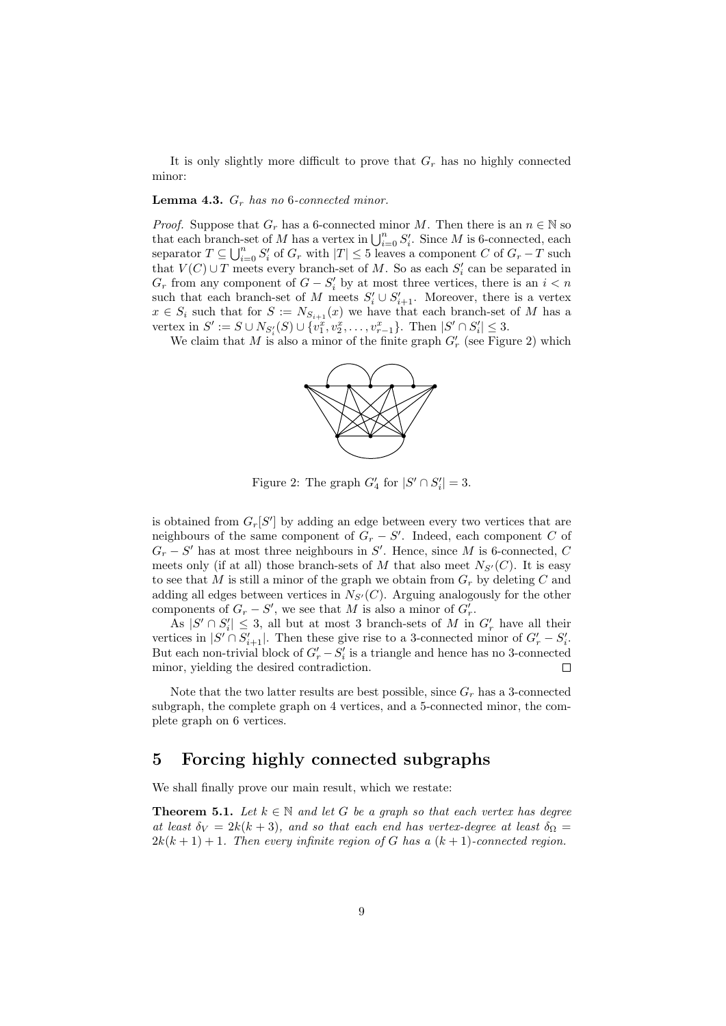It is only slightly more difficult to prove that  $G_r$  has no highly connected minor:

### **Lemma 4.3.**  $G_r$  has no 6-connected minor.

*Proof.* Suppose that  $G_r$  has a 6-connected minor M. Then there is an  $n \in \mathbb{N}$  so that each branch-set of M has a vertex in  $\bigcup_{i=0}^n S'_i$ . Since M is 6-connected, each separator  $T \subseteq \bigcup_{i=0}^n S'_i$  of  $G_r$  with  $|T| \leq 5$  leaves a component C of  $G_r - T$  such that  $V(C) \cup T$  meets every branch-set of M. So as each  $S_i'$  can be separated in  $G_r$  from any component of  $G - S'_i$  by at most three vertices, there is an  $i < n$ such that each branch-set of M meets  $S_i' \cup S_{i+1}'$ . Moreover, there is a vertex  $x \in S_i$  such that for  $S := N_{S_{i+1}}(x)$  we have that each branch-set of M has a vertex in  $S' := S \cup N_{S'_i}(S) \cup \{v_1^x, v_2^x, \dots, v_{r-1}^x\}$ . Then  $|S' \cap S'_i| \leq 3$ .

We claim that M is also a minor of the finite graph  $G'_{r}$  (see Figure 2) which



Figure 2: The graph  $G'_4$  for  $|S' \cap S'_i| = 3$ .

is obtained from  $G_r[S']$  by adding an edge between every two vertices that are neighbours of the same component of  $G_r - S'$ . Indeed, each component C of  $G_r - S'$  has at most three neighbours in S'. Hence, since M is 6-connected, C meets only (if at all) those branch-sets of M that also meet  $N_{S'}(C)$ . It is easy to see that M is still a minor of the graph we obtain from  $G_r$  by deleting C and adding all edges between vertices in  $N_{S'}(C)$ . Arguing analogously for the other components of  $G_r - S'$ , we see that M is also a minor of  $G'_r$ .

As  $|S' \cap S'_i| \leq 3$ , all but at most 3 branch-sets of M in  $G'_r$  have all their vertices in  $|S' \cap S'_{i+1}|$ . Then these give rise to a 3-connected minor of  $G'_r - S'_i$ . But each non-trivial block of  $G'_r - S'_i$  is a triangle and hence has no 3-connected minor, yielding the desired contradiction.  $\Box$ 

Note that the two latter results are best possible, since  $G_r$  has a 3-connected subgraph, the complete graph on 4 vertices, and a 5-connected minor, the complete graph on 6 vertices.

## 5 Forcing highly connected subgraphs

We shall finally prove our main result, which we restate:

**Theorem 5.1.** Let  $k \in \mathbb{N}$  and let G be a graph so that each vertex has degree at least  $\delta_V = 2k(k+3)$ , and so that each end has vertex-degree at least  $\delta_\Omega =$  $2k(k+1) + 1$ . Then every infinite region of G has a  $(k+1)$ -connected region.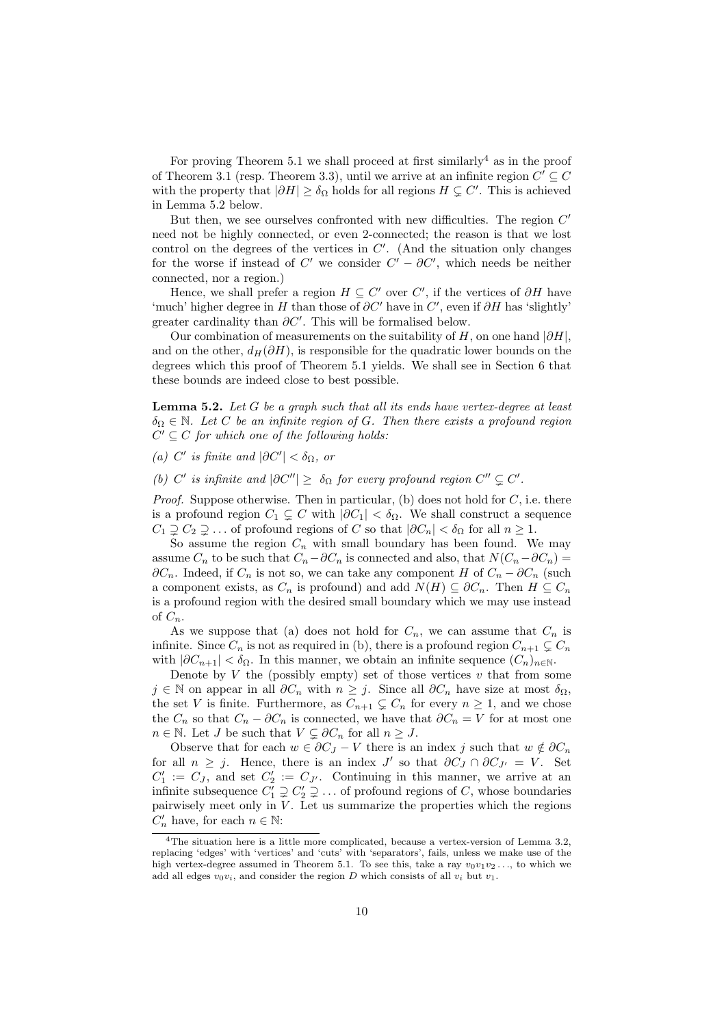For proving Theorem 5.1 we shall proceed at first similarly<sup>4</sup> as in the proof of Theorem 3.1 (resp. Theorem 3.3), until we arrive at an infinite region  $C' \subseteq C$ with the property that  $|\partial H| \ge \delta_{\Omega}$  holds for all regions  $H \subsetneq C'$ . This is achieved in Lemma 5.2 below.

But then, we see ourselves confronted with new difficulties. The region  $C'$ need not be highly connected, or even 2-connected; the reason is that we lost control on the degrees of the vertices in  $C'$ . (And the situation only changes for the worse if instead of  $C'$  we consider  $C' - \partial C'$ , which needs be neither connected, nor a region.)

Hence, we shall prefer a region  $H \subseteq C'$  over  $C'$ , if the vertices of  $\partial H$  have 'much' higher degree in H than those of  $\partial C'$  have in  $C'$ , even if  $\partial H$  has 'slightly' greater cardinality than  $\partial C'$ . This will be formalised below.

Our combination of measurements on the suitability of H, on one hand  $|\partial H|$ , and on the other,  $d_H(\partial H)$ , is responsible for the quadratic lower bounds on the degrees which this proof of Theorem 5.1 yields. We shall see in Section 6 that these bounds are indeed close to best possible.

**Lemma 5.2.** Let  $G$  be a graph such that all its ends have vertex-degree at least  $\delta_{\Omega} \in \mathbb{N}$ . Let C be an infinite region of G. Then there exists a profound region  $C' \subseteq C$  for which one of the following holds:

(a) C' is finite and  $|\partial C'| < \delta_{\Omega}$ , or

(b) C' is infinite and  $|\partial C''| \geq \delta_{\Omega}$  for every profound region  $C'' \subsetneq C'$ .

*Proof.* Suppose otherwise. Then in particular, (b) does not hold for  $C$ , i.e. there is a profound region  $C_1 \subsetneq C$  with  $|\partial C_1| < \delta_{\Omega}$ . We shall construct a sequence  $C_1 \supseteq C_2 \supseteq \ldots$  of profound regions of C so that  $|\partial C_n| < \delta_{\Omega}$  for all  $n \geq 1$ .

So assume the region  $C_n$  with small boundary has been found. We may assume  $C_n$  to be such that  $C_n-∂C_n$  is connected and also, that  $N(C_n-∂C_n) =$  $\partial C_n$ . Indeed, if  $C_n$  is not so, we can take any component H of  $C_n - \partial C_n$  (such a component exists, as  $C_n$  is profound) and add  $N(H) \subseteq \partial C_n$ . Then  $H \subseteq C_n$ is a profound region with the desired small boundary which we may use instead of  $C_n$ .

As we suppose that (a) does not hold for  $C_n$ , we can assume that  $C_n$  is infinite. Since  $C_n$  is not as required in (b), there is a profound region  $C_{n+1} \subsetneq C_n$ with  $|\partial C_{n+1}| < \delta_{\Omega}$ . In this manner, we obtain an infinite sequence  $(C_n)_{n \in \mathbb{N}}$ .

Denote by  $V$  the (possibly empty) set of those vertices  $v$  that from some  $j \in \mathbb{N}$  on appear in all  $\partial C_n$  with  $n \geq j$ . Since all  $\partial C_n$  have size at most  $\delta_{\Omega}$ , the set V is finite. Furthermore, as  $C_{n+1} \subsetneq C_n$  for every  $n \geq 1$ , and we chose the  $C_n$  so that  $C_n - \partial C_n$  is connected, we have that  $\partial C_n = V$  for at most one  $n \in \mathbb{N}$ . Let J be such that  $V \subsetneq \partial C_n$  for all  $n \geq J$ .

Observe that for each  $w \in \partial C_J - V$  there is an index j such that  $w \notin \partial C_n$ for all  $n \geq j$ . Hence, there is an index  $J'$  so that  $\partial C_J \cap \partial C_{J'} = V$ . Set  $C'_1 := C_J$ , and set  $C'_2 := C_{J'}$ . Continuing in this manner, we arrive at an infinite subsequence  $C_1^{\prime} \supsetneq C_2^{\prime} \supsetneq \ldots$  of profound regions of C, whose boundaries pairwisely meet only in  $V$ . Let us summarize the properties which the regions  $C'_n$  have, for each  $n \in \mathbb{N}$ :

<sup>4</sup>The situation here is a little more complicated, because a vertex-version of Lemma 3.2, replacing 'edges' with 'vertices' and 'cuts' with 'separators', fails, unless we make use of the high vertex-degree assumed in Theorem 5.1. To see this, take a ray  $v_0v_1v_2...$ , to which we add all edges  $v_0v_i$ , and consider the region D which consists of all  $v_i$  but  $v_1$ .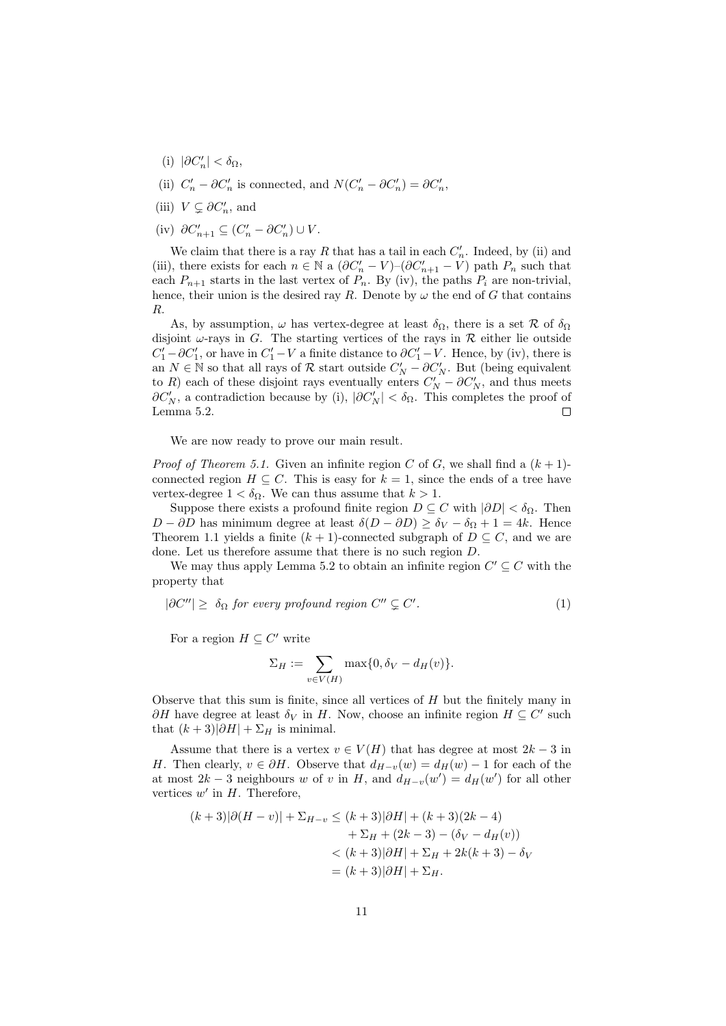- (i)  $|\partial C'_n| < \delta_\Omega$ ,
- (ii)  $C'_n \partial C'_n$  is connected, and  $N(C'_n \partial C'_n) = \partial C'_n$ ,
- (iii)  $V \subsetneq \partial C'_n$ , and
- (iv)  $\partial C'_{n+1} \subseteq (C'_n \partial C'_n) \cup V$ .

We claim that there is a ray R that has a tail in each  $C'_n$ . Indeed, by (ii) and (iii), there exists for each  $n \in \mathbb{N}$  a  $(\partial C'_{n} - V)$ - $(\partial C'_{n+1} - V)$  path  $P_n$  such that each  $P_{n+1}$  starts in the last vertex of  $P_n$ . By (iv), the paths  $P_i$  are non-trivial, hence, their union is the desired ray R. Denote by  $\omega$  the end of G that contains R.

As, by assumption,  $\omega$  has vertex-degree at least  $\delta_{\Omega}$ , there is a set R of  $\delta_{\Omega}$ disjoint  $\omega$ -rays in G. The starting vertices of the rays in  $\mathcal R$  either lie outside  $C'_1 - \partial C'_1$ , or have in  $C'_1 - V$  a finite distance to  $\partial C'_1 - V$ . Hence, by (iv), there is an  $N \in \mathbb{N}$  so that all rays of  $\mathcal{R}$  start outside  $C'_N - \partial C'_N$ . But (being equivalent to R) each of these disjoint rays eventually enters  $C'_N - \partial C'_N$ , and thus meets  $\partial C_N'$ , a contradiction because by (i),  $|\partial C_N'| < \delta_{\Omega}$ . This completes the proof of Lemma 5.2.  $\Box$ 

We are now ready to prove our main result.

*Proof of Theorem 5.1.* Given an infinite region C of G, we shall find a  $(k+1)$ connected region  $H \subseteq C$ . This is easy for  $k = 1$ , since the ends of a tree have vertex-degree  $1 < \delta_{\Omega}$ . We can thus assume that  $k > 1$ .

Suppose there exists a profound finite region  $D \subseteq C$  with  $|\partial D| < \delta_{\Omega}$ . Then  $D - \partial D$  has minimum degree at least  $\delta(D - \partial D) \ge \delta_V - \delta_{\Omega} + 1 = 4k$ . Hence Theorem 1.1 yields a finite  $(k + 1)$ -connected subgraph of  $D \subseteq C$ , and we are done. Let us therefore assume that there is no such region D.

We may thus apply Lemma 5.2 to obtain an infinite region  $C' \subseteq C$  with the property that

$$
|\partial C''| \ge \delta_{\Omega} \text{ for every profound region } C'' \subsetneq C'.
$$
 (1)

For a region  $H \subseteq C'$  write

$$
\Sigma_H := \sum_{v \in V(H)} \max\{0, \delta_V - d_H(v)\}.
$$

Observe that this sum is finite, since all vertices of H but the finitely many in  $\partial H$  have degree at least  $\delta_V$  in H. Now, choose an infinite region  $H \subseteq C'$  such that  $(k+3)|\partial H| + \Sigma_H$  is minimal.

Assume that there is a vertex  $v \in V(H)$  that has degree at most  $2k - 3$  in H. Then clearly,  $v \in \partial H$ . Observe that  $d_{H-v}(w) = d_H(w) - 1$  for each of the at most  $2k-3$  neighbours w of v in H, and  $d_{H-v}(w') = d_H(w')$  for all other vertices  $w'$  in  $H$ . Therefore,

$$
(k+3)|\partial(H - v)| + \Sigma_{H-v} \le (k+3)|\partial H| + (k+3)(2k-4) + \Sigma_H + (2k-3) - (\delta_V - d_H(v)) < (k+3)|\partial H| + \Sigma_H + 2k(k+3) - \delta_V = (k+3)|\partial H| + \Sigma_H.
$$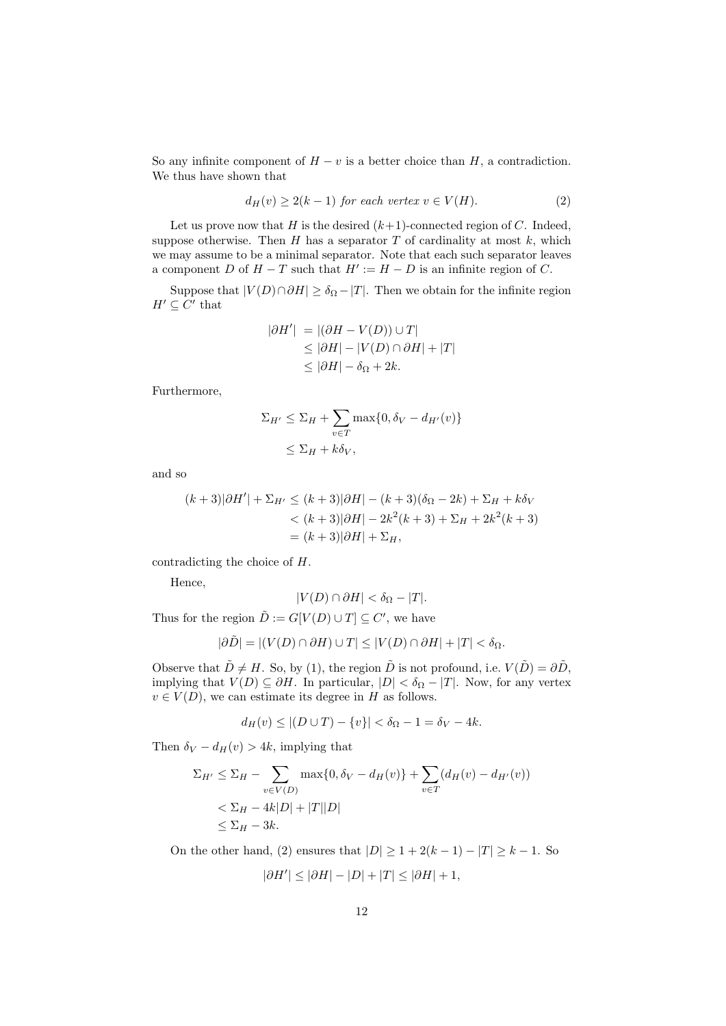So any infinite component of  $H - v$  is a better choice than  $H$ , a contradiction. We thus have shown that

$$
d_H(v) \ge 2(k-1) \text{ for each vertex } v \in V(H). \tag{2}
$$

Let us prove now that H is the desired  $(k+1)$ -connected region of C. Indeed, suppose otherwise. Then  $H$  has a separator  $T$  of cardinality at most  $k$ , which we may assume to be a minimal separator. Note that each such separator leaves a component D of  $H - T$  such that  $H' := H - D$  is an infinite region of C.

Suppose that  $|V(D) \cap \partial H| \ge \delta_{\Omega} - |T|$ . Then we obtain for the infinite region  $H' \subseteq C'$  that

$$
|\partial H'| = |(\partial H - V(D)) \cup T|
$$
  
\n
$$
\leq |\partial H| - |V(D) \cap \partial H| + |T|
$$
  
\n
$$
\leq |\partial H| - \delta_{\Omega} + 2k.
$$

Furthermore,

$$
\Sigma_{H'} \leq \Sigma_H + \sum_{v \in T} \max\{0, \delta_V - d_{H'}(v)\}
$$
  

$$
\leq \Sigma_H + k\delta_V,
$$

and so

$$
(k+3)|\partial H'| + \Sigma_{H'} \le (k+3)|\partial H| - (k+3)(\delta_{\Omega} - 2k) + \Sigma_H + k\delta_V
$$
  

$$
< (k+3)|\partial H| - 2k^2(k+3) + \Sigma_H + 2k^2(k+3)
$$
  

$$
= (k+3)|\partial H| + \Sigma_H,
$$

contradicting the choice of H.

Hence,

$$
|V(D) \cap \partial H| < \delta_{\Omega} - |T|.
$$

Thus for the region  $\tilde{D} := G[V(D) \cup T] \subseteq C'$ , we have

$$
|\partial \tilde{D}| = |(V(D) \cap \partial H) \cup T| \leq |V(D) \cap \partial H| + |T| < \delta_{\Omega}.
$$

Observe that  $\tilde{D} \neq H$ . So, by (1), the region  $\tilde{D}$  is not profound, i.e.  $V(\tilde{D}) = \partial \tilde{D}$ , implying that  $V(D) \subseteq \partial H$ . In particular,  $|D| < \delta_{\Omega} - |T|$ . Now, for any vertex  $v \in V(D)$ , we can estimate its degree in H as follows.

$$
d_H(v) \le |(D \cup T) - \{v\}| < \delta_{\Omega} - 1 = \delta_V - 4k.
$$

Then  $\delta_V - d_H(v) > 4k$ , implying that

$$
\Sigma_{H'} \leq \Sigma_H - \sum_{v \in V(D)} \max\{0, \delta_V - d_H(v)\} + \sum_{v \in T} (d_H(v) - d_{H'}(v))
$$
  

$$
< \Sigma_H - 4k|D| + |T||D|
$$
  

$$
\leq \Sigma_H - 3k.
$$

On the other hand, (2) ensures that  $|D| \geq 1 + 2(k-1) - |T| \geq k - 1$ . So

$$
|\partial H'| \le |\partial H| - |D| + |T| \le |\partial H| + 1,
$$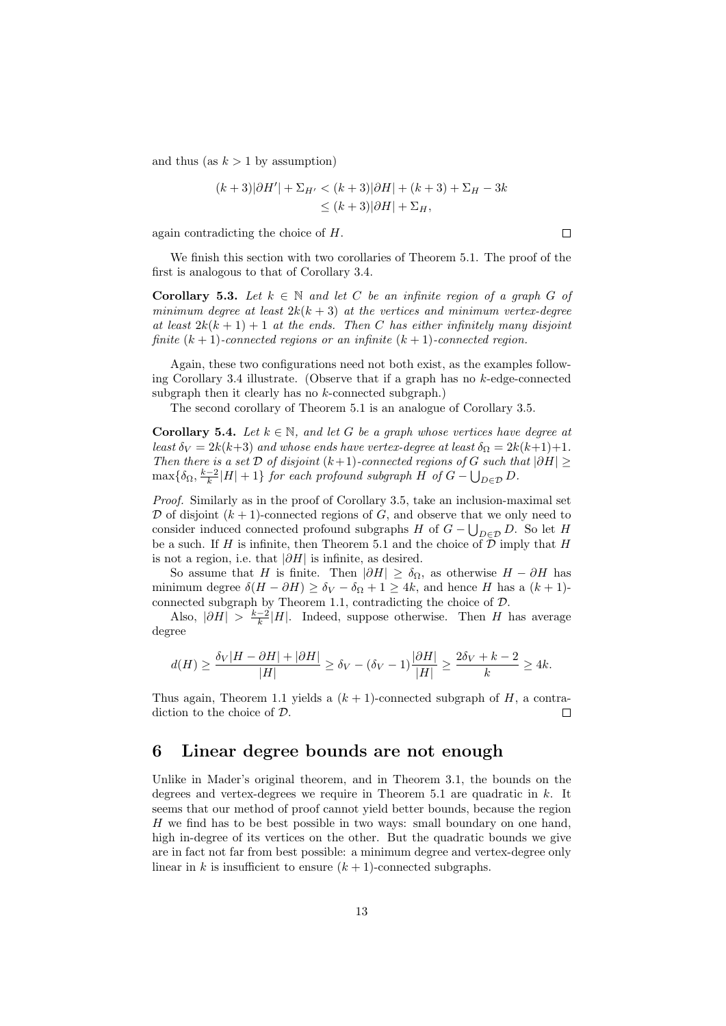and thus (as  $k > 1$  by assumption)

$$
(k+3)|\partial H'| + \Sigma_{H'} < (k+3)|\partial H| + (k+3) + \Sigma_H - 3k
$$
\n
$$
\le (k+3)|\partial H| + \Sigma_H,
$$

again contradicting the choice of H.

We finish this section with two corollaries of Theorem 5.1. The proof of the first is analogous to that of Corollary 3.4.

**Corollary 5.3.** Let  $k \in \mathbb{N}$  and let C be an infinite region of a graph G of minimum degree at least  $2k(k+3)$  at the vertices and minimum vertex-degree at least  $2k(k+1)+1$  at the ends. Then C has either infinitely many disjoint finite  $(k + 1)$ -connected regions or an infinite  $(k + 1)$ -connected region.

Again, these two configurations need not both exist, as the examples following Corollary 3.4 illustrate. (Observe that if a graph has no k-edge-connected subgraph then it clearly has no  $k$ -connected subgraph.)

The second corollary of Theorem 5.1 is an analogue of Corollary 3.5.

**Corollary 5.4.** Let  $k \in \mathbb{N}$ , and let G be a graph whose vertices have degree at least  $\delta_V = 2k(k+3)$  and whose ends have vertex-degree at least  $\delta_{\Omega} = 2k(k+1)+1$ . Then there is a set  $\mathcal D$  of disjoint (k+1)-connected regions of G such that  $|\partial H|$  ≥  $\max\{\delta_{\Omega}, \frac{k-2}{k}|H|+1\}$  for each profound subgraph H of  $G-\bigcup_{D\in\mathcal{D}} D$ .

Proof. Similarly as in the proof of Corollary 3.5, take an inclusion-maximal set  $\mathcal D$  of disjoint  $(k+1)$ -connected regions of G, and observe that we only need to consider induced connected profound subgraphs H of  $G - \bigcup_{D \in \mathcal{D}} D$ . So let H be a such. If H is infinite, then Theorem 5.1 and the choice of  $D$  imply that H is not a region, i.e. that  $|\partial H|$  is infinite, as desired.

So assume that H is finite. Then  $|\partial H| \ge \delta_{\Omega}$ , as otherwise  $H - \partial H$  has minimum degree  $\delta(H - \partial H) \ge \delta_V - \delta_{\Omega} + 1 \ge 4k$ , and hence H has a  $(k + 1)$ connected subgraph by Theorem 1.1, contradicting the choice of  $D$ .

Also,  $|\partial H| > \frac{k-2}{k} |H|$ . Indeed, suppose otherwise. Then H has average degree

$$
d(H) \ge \frac{\delta_V |H - \partial H| + |\partial H|}{|H|} \ge \delta_V - (\delta_V - 1)\frac{|\partial H|}{|H|} \ge \frac{2\delta_V + k - 2}{k} \ge 4k.
$$

Thus again, Theorem 1.1 yields a  $(k + 1)$ -connected subgraph of H, a contradiction to the choice of D.  $\Box$ 

### 6 Linear degree bounds are not enough

Unlike in Mader's original theorem, and in Theorem 3.1, the bounds on the degrees and vertex-degrees we require in Theorem  $5.1$  are quadratic in  $k$ . It seems that our method of proof cannot yield better bounds, because the region H we find has to be best possible in two ways: small boundary on one hand, high in-degree of its vertices on the other. But the quadratic bounds we give are in fact not far from best possible: a minimum degree and vertex-degree only linear in k is insufficient to ensure  $(k + 1)$ -connected subgraphs.

 $\Box$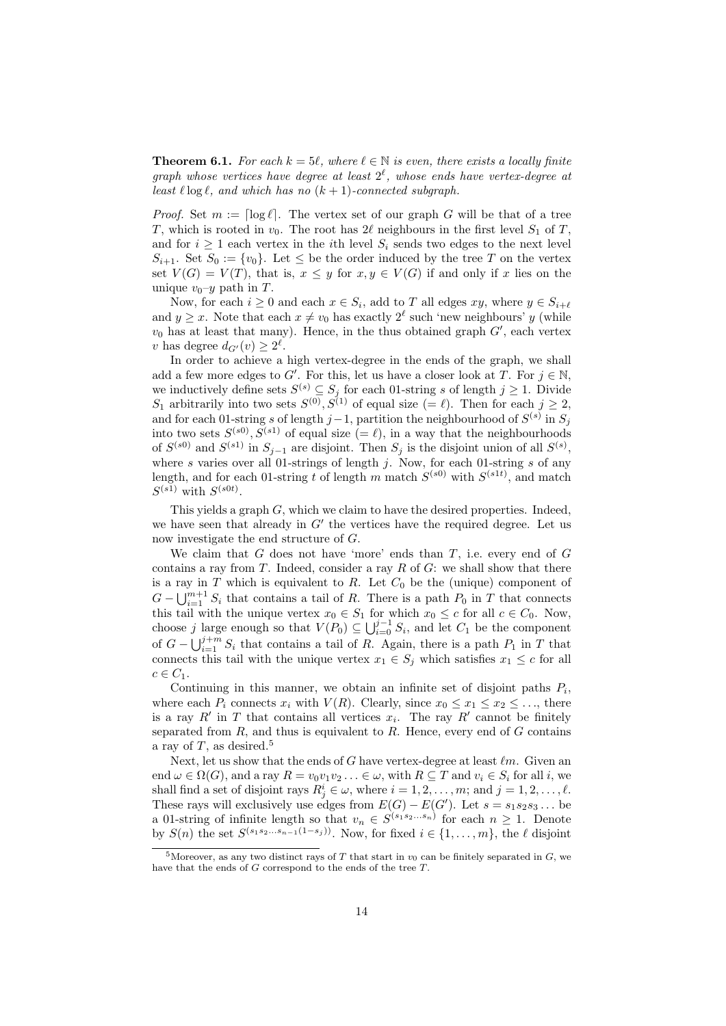**Theorem 6.1.** For each  $k = 5\ell$ , where  $\ell \in \mathbb{N}$  is even, there exists a locally finite graph whose vertices have degree at least  $2^{\ell}$ , whose ends have vertex-degree at least  $\ell \log \ell$ , and which has no  $(k + 1)$ -connected subgraph.

*Proof.* Set  $m := \lceil \log \ell \rceil$ . The vertex set of our graph G will be that of a tree T, which is rooted in  $v_0$ . The root has  $2\ell$  neighbours in the first level  $S_1$  of T, and for  $i \geq 1$  each vertex in the *i*th level  $S_i$  sends two edges to the next level  $S_{i+1}$ . Set  $S_0 := \{v_0\}$ . Let  $\leq$  be the order induced by the tree T on the vertex set  $V(G) = V(T)$ , that is,  $x \leq y$  for  $x, y \in V(G)$  if and only if x lies on the unique  $v_0$ – $y$  path in T.

Now, for each  $i \geq 0$  and each  $x \in S_i$ , add to T all edges  $xy$ , where  $y \in S_{i+\ell}$ and  $y \geq x$ . Note that each  $x \neq v_0$  has exactly  $2^{\ell}$  such 'new neighbours' y (while  $v_0$  has at least that many). Hence, in the thus obtained graph  $G'$ , each vertex v has degree  $d_{G'}(v) \geq 2^{\ell}$ .

In order to achieve a high vertex-degree in the ends of the graph, we shall add a few more edges to G'. For this, let us have a closer look at T. For  $j \in \mathbb{N}$ , we inductively define sets  $S^{(s)} \subseteq S_j$  for each 01-string s of length  $j \ge 1$ . Divide  $S_1$  arbitrarily into two sets  $S^{(0)}, S^{(1)}$  of equal size  $(= \ell)$ . Then for each  $j \geq 2$ , and for each 01-string s of length j – 1, partition the neighbourhood of  $S^{(s)}$  in  $S_j$ into two sets  $S^{(s_0)}, S^{(s_1)}$  of equal size  $(= \ell)$ , in a way that the neighbourhoods of  $S^{(s)}$  and  $S^{(s)}$  in  $S_{j-1}$  are disjoint. Then  $S_j$  is the disjoint union of all  $S^{(s)}$ , where s varies over all 01-strings of length j. Now, for each 01-string s of any length, and for each 01-string t of length m match  $S^{(s0)}$  with  $S^{(s1t)}$ , and match  $S^{(s_1)}$  with  $S^{(s_0t)}$ .

This yields a graph G, which we claim to have the desired properties. Indeed, we have seen that already in  $G'$  the vertices have the required degree. Let us now investigate the end structure of G.

We claim that  $G$  does not have 'more' ends than  $T$ , i.e. every end of  $G$ contains a ray from  $T$ . Indeed, consider a ray  $R$  of  $G$ : we shall show that there is a ray in  $T$  which is equivalent to  $R$ . Let  $C_0$  be the (unique) component of  $G - \bigcup_{i=1}^{m+1} S_i$  that contains a tail of R. There is a path  $P_0$  in T that connects this tail with the unique vertex  $x_0 \in S_1$  for which  $x_0 \le c$  for all  $c \in C_0$ . Now, choose j large enough so that  $V(P_0) \subseteq \bigcup_{i=0}^{j-1} S_i$ , and let  $C_1$  be the component of  $G - \bigcup_{i=1}^{j+m} S_i$  that contains a tail of R. Again, there is a path  $P_1$  in T that connects this tail with the unique vertex  $x_1 \in S_j$  which satisfies  $x_1 \leq c$  for all  $c \in C_1$ .

Continuing in this manner, we obtain an infinite set of disjoint paths  $P_i$ , where each  $P_i$  connects  $x_i$  with  $V(R)$ . Clearly, since  $x_0 \le x_1 \le x_2 \le \ldots$ , there is a ray  $R'$  in T that contains all vertices  $x_i$ . The ray  $R'$  cannot be finitely separated from  $R$ , and thus is equivalent to  $R$ . Hence, every end of  $G$  contains a ray of  $T$ , as desired.<sup>5</sup>

Next, let us show that the ends of G have vertex-degree at least  $\ell m$ . Given an end  $\omega \in \Omega(G)$ , and a ray  $R = v_0v_1v_2 \ldots \in \omega$ , with  $R \subseteq T$  and  $v_i \in S_i$  for all i, we shall find a set of disjoint rays  $R_j^i \in \omega$ , where  $i = 1, 2, \ldots, m$ ; and  $j = 1, 2, \ldots, \ell$ . These rays will exclusively use edges from  $E(G) - E(G')$ . Let  $s = s_1 s_2 s_3 \dots$  be a 01-string of infinite length so that  $v_n \in S^{(s_1 s_2 \dots s_n)}$  for each  $n \geq 1$ . Denote by  $S(n)$  the set  $S^{(s_1s_2...s_{n-1}(1-s_j))}$ . Now, for fixed  $i \in \{1,\ldots,m\}$ , the  $\ell$  disjoint

<sup>&</sup>lt;sup>5</sup>Moreover, as any two distinct rays of T that start in  $v_0$  can be finitely separated in  $G$ , we have that the ends of  $G$  correspond to the ends of the tree  $T$ .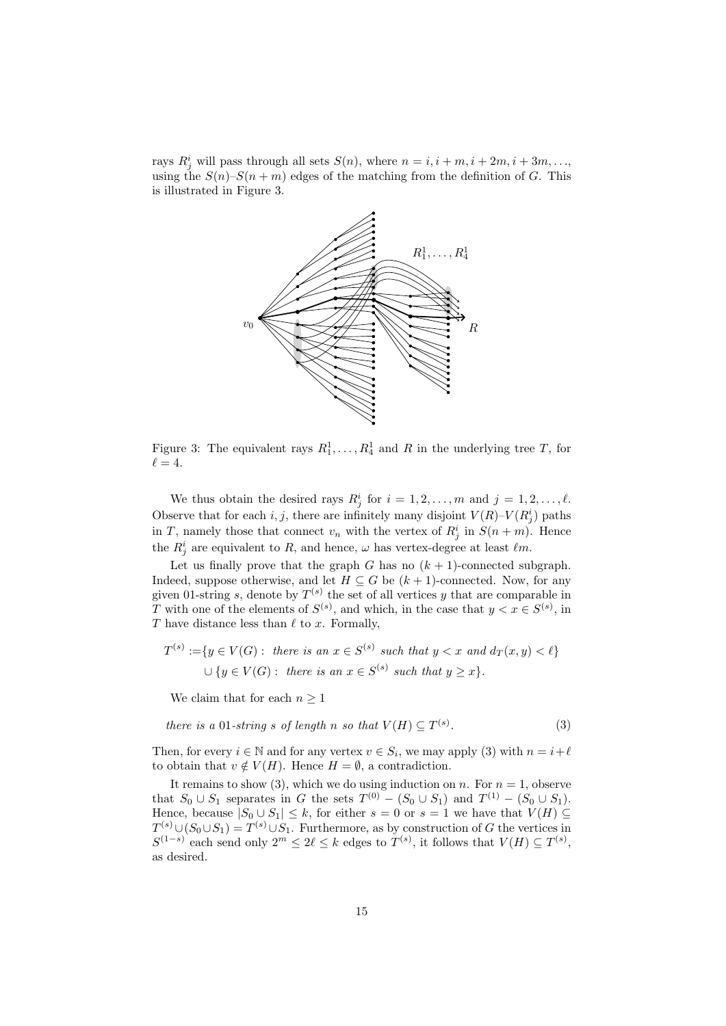rays  $R_j^i$  will pass through all sets  $S(n)$ , where  $n = i, i + m, i + 2m, i + 3m, \ldots$ using the  $S(n)-S(n+m)$  edges of the matching from the definition of G. This is illustrated in Figure 3.



Figure 3: The equivalent rays  $R_1^1, \ldots, R_4^1$  and R in the underlying tree T, for  $\ell = 4.$ 

We thus obtain the desired rays  $R_j^i$  for  $i = 1, 2, ..., m$  and  $j = 1, 2, ..., \ell$ . Observe that for each i, j, there are infinitely many disjoint  $V(R)$ – $V(R_j^i)$  paths in T, namely those that connect  $v_n$  with the vertex of  $R_j^i$  in  $S(n+m)$ . Hence the  $R_j^i$  are equivalent to R, and hence,  $\omega$  has vertex-degree at least  $\ell m$ .

Let us finally prove that the graph G has no  $(k + 1)$ -connected subgraph. Indeed, suppose otherwise, and let  $H \subseteq G$  be  $(k+1)$ -connected. Now, for any given 01-string s, denote by  $T^{(s)}$  the set of all vertices y that are comparable in T with one of the elements of  $S^{(s)}$ , and which, in the case that  $y < x \in S^{(s)}$ , in T have distance less than  $\ell$  to x. Formally,

$$
T^{(s)} := \{ y \in V(G) : \text{ there is an } x \in S^{(s)} \text{ such that } y < x \text{ and } d_T(x, y) < \ell \}
$$
\n
$$
\cup \{ y \in V(G) : \text{ there is an } x \in S^{(s)} \text{ such that } y \geq x \}.
$$

We claim that for each  $n \geq 1$ 

there is a 01-string s of length n so that 
$$
V(H) \subseteq T^{(s)}
$$
. (3)

Then, for every  $i \in \mathbb{N}$  and for any vertex  $v \in S_i$ , we may apply (3) with  $n = i + \ell$ to obtain that  $v \notin V(H)$ . Hence  $H = \emptyset$ , a contradiction.

It remains to show (3), which we do using induction on n. For  $n = 1$ , observe that  $S_0 \cup S_1$  separates in G the sets  $T^{(0)} - (S_0 \cup S_1)$  and  $T^{(1)} - (S_0 \cup S_1)$ . Hence, because  $|S_0 \cup S_1| \leq k$ , for either  $s = 0$  or  $s = 1$  we have that  $V(H) \subseteq$  $T^{(s)} \cup (S_0 \cup S_1) = T^{(s)} \cup S_1$ . Furthermore, as by construction of G the vertices in  $S^{(1-s)}$  each send only  $2^m \leq 2\ell \leq k$  edges to  $T^{(s)}$ , it follows that  $V(H) \subseteq T^{(s)}$ , as desired.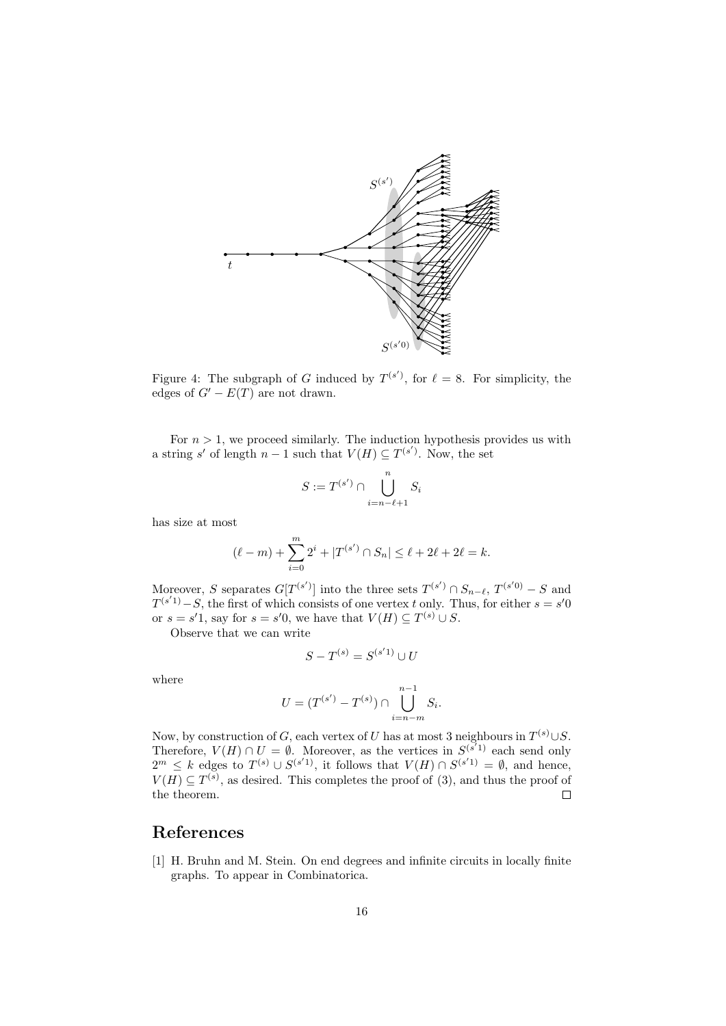

Figure 4: The subgraph of G induced by  $T^{(s')}$ , for  $\ell = 8$ . For simplicity, the edges of  $G' - E(T)$  are not drawn.

For  $n > 1$ , we proceed similarly. The induction hypothesis provides us with a string s' of length  $n-1$  such that  $V(H) \subseteq T^{(s')}$ . Now, the set

$$
S:=T^{(s')}\cap \bigcup_{i=n-\ell+1}^n S_i
$$

has size at most

$$
(\ell - m) + \sum_{i=0}^{m} 2^{i} + |T^{(s')} \cap S_n| \leq \ell + 2\ell + 2\ell = k.
$$

Moreover, S separates  $G[T^{(s')}]$  into the three sets  $T^{(s')} \cap S_{n-\ell}$ ,  $T^{(s'0)} - S$  and  $T^{(s'1)}-S$ , the first of which consists of one vertex t only. Thus, for either  $s = s'0$ or  $s = s'1$ , say for  $s = s'0$ , we have that  $V(H) \subseteq T^{(s)} \cup S$ .

Observe that we can write

$$
S-T^{(s)}=S^{(s'1)}\cup U
$$

where

$$
U = (T^{(s')} - T^{(s)}) \cap \bigcup_{i=n-m}^{n-1} S_i.
$$

Now, by construction of G, each vertex of U has at most 3 neighbours in  $T^{(s)} \cup S$ . Therefore,  $V(H) \cap U = \emptyset$ . Moreover, as the vertices in  $S^{(s'1)}$  each send only  $2^m \leq k$  edges to  $T^{(s)} \cup S^{(s'1)}$ , it follows that  $V(H) \cap S^{(s'1)} = \emptyset$ , and hence,  $V(H) \subseteq T^{(s)}$ , as desired. This completes the proof of (3), and thus the proof of the theorem.  $\Box$ 

## References

[1] H. Bruhn and M. Stein. On end degrees and infinite circuits in locally finite graphs. To appear in Combinatorica.